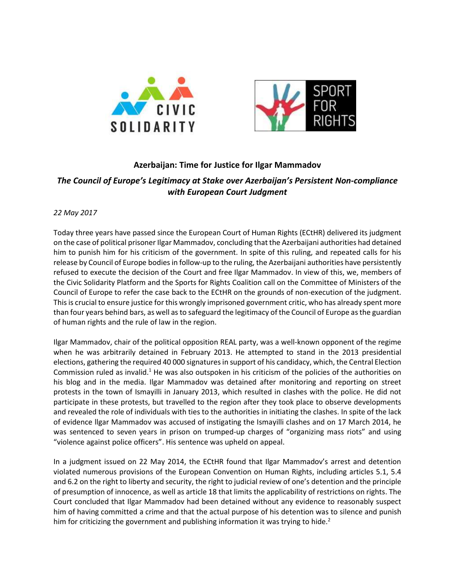



## **Azerbaijan: Time for Justice for Ilgar Mammadov** *The Council of Europe's Legitimacy at Stake over Azerbaijan's Persistent Non-compliance with European Court Judgment*

## *22 May 2017*

Today three years have passed since the European Court of Human Rights (ECtHR) delivered its judgment on the case of political prisoner Ilgar Mammadov, concluding that the Azerbaijani authorities had detained him to punish him for his criticism of the government. In spite of this ruling, and repeated calls for his release by Council of Europe bodies in follow-up to the ruling, the Azerbaijani authorities have persistently refused to execute the decision of the Court and free Ilgar Mammadov. In view of this, we, members of the Civic Solidarity Platform and the Sports for Rights Coalition call on the Committee of Ministers of the Council of Europe to refer the case back to the ECtHR on the grounds of non-execution of the judgment. This is crucial to ensure justice for this wrongly imprisoned government critic, who has already spent more than four years behind bars, as well asto safeguard the legitimacy of the Council of Europe as the guardian of human rights and the rule of law in the region.

Ilgar Mammadov, chair of the political opposition REAL party, was a well-known opponent of the regime when he was arbitrarily detained in February 2013. He attempted to stand in the 2013 presidential elections, gathering the required 40 000 signatures in support of his candidacy, which, the Central Election Commission ruled as invalid.<sup>1</sup> He was also outspoken in his criticism of the policies of the authorities on his blog and in the media. Ilgar Mammadov was detained after monitoring and reporting on street protests in the town of Ismayilli in January 2013, which resulted in clashes with the police. He did not participate in these protests, but travelled to the region after they took place to observe developments and revealed the role of individuals with ties to the authorities in initiating the clashes. In spite of the lack of evidence llgar Mammadov was accused of instigating the Ismayilli clashes and on 17 March 2014, he was sentenced to seven years in prison on trumped-up charges of "organizing mass riots" and using "violence against police officers". His sentence was upheld on appeal.

In a judgment issued on 22 May 2014, the ECtHR found that Ilgar Mammadov's arrest and detention violated numerous provisions of the European Convention on Human Rights, including articles 5.1, 5.4 and 6.2 on the right to liberty and security, the right to judicial review of one's detention and the principle of presumption of innocence, as well as article 18 that limits the applicability of restrictions on rights. The Court concluded that Ilgar Mammadov had been detained without any evidence to reasonably suspect him of having committed a crime and that the actual purpose of his detention was to silence and punish him for criticizing the government and publishing information it was trying to hide. $2$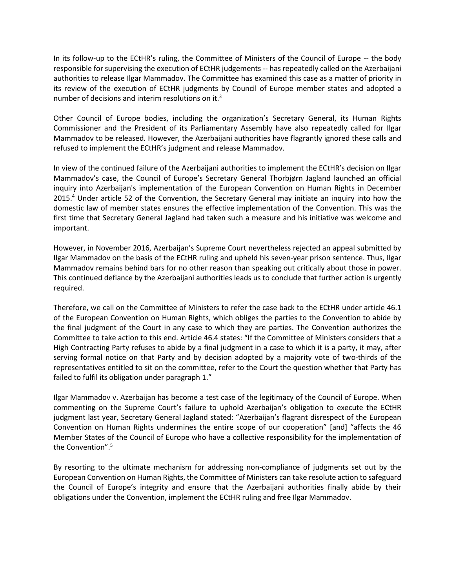In its follow-up to the ECtHR's ruling, the Committee of Ministers of the Council of Europe -- the body responsible for supervising the execution of ECtHR judgements -- has repeatedly called on the Azerbaijani authorities to release Ilgar Mammadov. The Committee has examined this case as a matter of priority in its review of the execution of ECtHR judgments by Council of Europe member states and adopted a number of decisions and interim resolutions on it.<sup>3</sup>

Other Council of Europe bodies, including the organization's Secretary General, its Human Rights Commissioner and the President of its Parliamentary Assembly have also repeatedly called for Ilgar Mammadov to be released. However, the Azerbaijani authorities have flagrantly ignored these calls and refused to implement the ECtHR's judgment and release Mammadov.

In view of the continued failure of the Azerbaijani authorities to implement the ECtHR's decision on Ilgar Mammadov's case, the Council of Europe's Secretary General Thorbjørn Jagland launched an official inquiry into Azerbaijan's implementation of the European Convention on Human Rights in December 2015.<sup>4</sup> Under article 52 of the Convention, the Secretary General may initiate an inquiry into how the domestic law of member states ensures the effective implementation of the Convention. This was the first time that Secretary General Jagland had taken such a measure and his initiative was welcome and important.

However, in November 2016, Azerbaijan's Supreme Court nevertheless rejected an appeal submitted by Ilgar Mammadov on the basis of the ECtHR ruling and upheld his seven-year prison sentence. Thus, Ilgar Mammadov remains behind bars for no other reason than speaking out critically about those in power. This continued defiance by the Azerbaijani authorities leads us to conclude that further action is urgently required.

Therefore, we call on the Committee of Ministers to refer the case back to the ECtHR under article 46.1 of the European Convention on Human Rights, which obliges the parties to the Convention to abide by the final judgment of the Court in any case to which they are parties. The Convention authorizes the Committee to take action to this end. Article 46.4 states: "If the Committee of Ministers considers that a High Contracting Party refuses to abide by a final judgment in a case to which it is a party, it may, after serving formal notice on that Party and by decision adopted by a majority vote of two-thirds of the representatives entitled to sit on the committee, refer to the Court the question whether that Party has failed to fulfil its obligation under paragraph 1."

Ilgar Mammadov v. Azerbaijan has become a test case of the legitimacy of the Council of Europe. When commenting on the Supreme Court's failure to uphold Azerbaijan's obligation to execute the ECtHR judgment last year, Secretary General Jagland stated: "Azerbaijan's flagrant disrespect of the European Convention on Human Rights undermines the entire scope of our cooperation" [and] "affects the 46 Member States of the Council of Europe who have a collective responsibility for the implementation of the Convention". 5

By resorting to the ultimate mechanism for addressing non-compliance of judgments set out by the European Convention on Human Rights, the Committee of Ministers can take resolute action to safeguard the Council of Europe's integrity and ensure that the Azerbaijani authorities finally abide by their obligations under the Convention, implement the ECtHR ruling and free Ilgar Mammadov.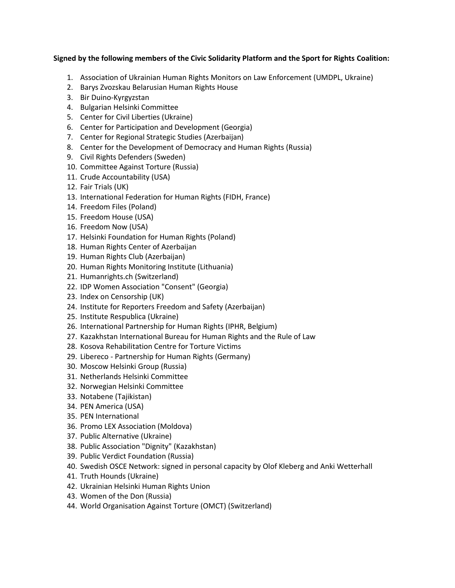## **Signed by the following members of the Civic Solidarity Platform and the Sport for Rights Coalition:**

- 1. Association of Ukrainian Human Rights Monitors on Law Enforcement (UMDPL, Ukraine)
- 2. Barys Zvozskau Belarusian Human Rights House
- 3. Bir Duino-Kyrgyzstan
- 4. Bulgarian Helsinki Committee
- 5. Center for Civil Liberties (Ukraine)
- 6. Center for Participation and Development (Georgia)
- 7. Center for Regional Strategic Studies (Azerbaijan)
- 8. Center for the Development of Democracy and Human Rights (Russia)
- 9. Civil Rights Defenders (Sweden)
- 10. Committee Against Torture (Russia)
- 11. Crude Accountability (USA)
- 12. Fair Trials (UK)
- 13. International Federation for Human Rights (FIDH, France)
- 14. Freedom Files (Poland)
- 15. Freedom House (USA)
- 16. Freedom Now (USA)
- 17. Helsinki Foundation for Human Rights (Poland)
- 18. Human Rights Center of Azerbaijan
- 19. Human Rights Club (Azerbaijan)
- 20. Human Rights Monitoring Institute (Lithuania)
- 21. Humanrights.ch (Switzerland)
- 22. IDP Women Association "Consent" (Georgia)
- 23. Index on Censorship (UK)
- 24. Institute for Reporters Freedom and Safety (Azerbaijan)
- 25. Institute Respublica (Ukraine)
- 26. International Partnership for Human Rights (IPHR, Belgium)
- 27. Kazakhstan International Bureau for Human Rights and the Rule of Law
- 28. Kosova Rehabilitation Centre for Torture Victims
- 29. Libereco Partnership for Human Rights (Germany)
- 30. Moscow Helsinki Group (Russia)
- 31. Netherlands Helsinki Committee
- 32. Norwegian Helsinki Committee
- 33. Notabene (Tajikistan)
- 34. PEN America (USA)
- 35. PEN International
- 36. Promo LEX Association (Moldova)
- 37. Public Alternative (Ukraine)
- 38. Public Association "Dignity" (Kazakhstan)
- 39. Public Verdict Foundation (Russia)
- 40. Swedish OSCE Network: signed in personal capacity by Olof Kleberg and Anki Wetterhall
- 41. Truth Hounds (Ukraine)
- 42. Ukrainian Helsinki Human Rights Union
- 43. Women of the Don (Russia)
- 44. World Organisation Against Torture (OMCT) (Switzerland)